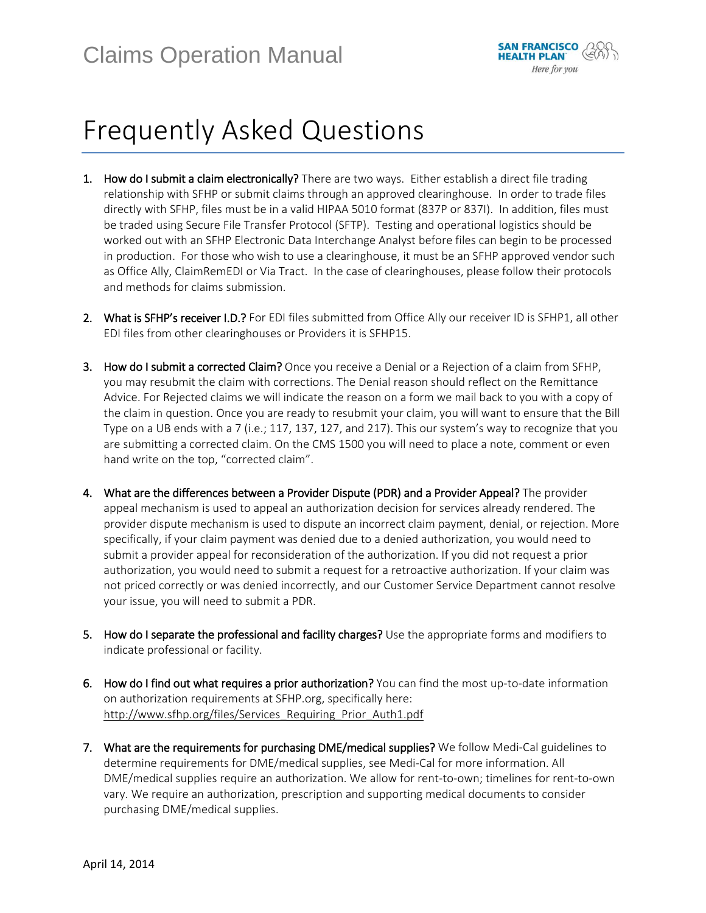

## Frequently Asked Questions

- 1. How do I submit a claim electronically? There are two ways. Either establish a direct file trading relationship with SFHP or submit claims through an approved clearinghouse. In order to trade files directly with SFHP, files must be in a valid HIPAA 5010 format (837P or 837I). In addition, files must be traded using Secure File Transfer Protocol (SFTP). Testing and operational logistics should be worked out with an SFHP Electronic Data Interchange Analyst before files can begin to be processed in production. For those who wish to use a clearinghouse, it must be an SFHP approved vendor such as Office Ally, ClaimRemEDI or Via Tract. In the case of clearinghouses, please follow their protocols and methods for claims submission.
- 2. What is SFHP's receiver I.D.? For EDI files submitted from Office Ally our receiver ID is SFHP1, all other EDI files from other clearinghouses or Providers it is SFHP15.
- 3. How do I submit a corrected Claim? Once you receive a Denial or a Rejection of a claim from SFHP, you may resubmit the claim with corrections. The Denial reason should reflect on the Remittance Advice. For Rejected claims we will indicate the reason on a form we mail back to you with a copy of the claim in question. Once you are ready to resubmit your claim, you will want to ensure that the Bill Type on a UB ends with a 7 (i.e.; 117, 137, 127, and 217). This our system's way to recognize that you are submitting a corrected claim. On the CMS 1500 you will need to place a note, comment or even hand write on the top, "corrected claim".
- 4. What are the differences between a Provider Dispute (PDR) and a Provider Appeal? The provider appeal mechanism is used to appeal an authorization decision for services already rendered. The provider dispute mechanism is used to dispute an incorrect claim payment, denial, or rejection. More specifically, if your claim payment was denied due to a denied authorization, you would need to submit a provider appeal for reconsideration of the authorization. If you did not request a prior authorization, you would need to submit a request for a retroactive authorization. If your claim was not priced correctly or was denied incorrectly, and our Customer Service Department cannot resolve your issue, you will need to submit a PDR.
- 5. How do I separate the professional and facility charges? Use the appropriate forms and modifiers to indicate professional or facility.
- 6. How do I find out what requires a prior authorization? You can find the most up-to-date information on authorization requirements at SFHP.org, specifically here: [http://www.sfhp.org/files/Services\\_Requiring\\_Prior\\_Auth1.pdf](http://www.sfhp.org/files/Services_Requiring_Prior_Auth1.pdf)
- 7. What are the requirements for purchasing DME/medical supplies? We follow Medi-Cal guidelines to determine requirements for DME/medical supplies, see Medi-Cal for more information. All DME/medical supplies require an authorization. We allow for rent-to-own; timelines for rent-to-own vary. We require an authorization, prescription and supporting medical documents to consider purchasing DME/medical supplies.